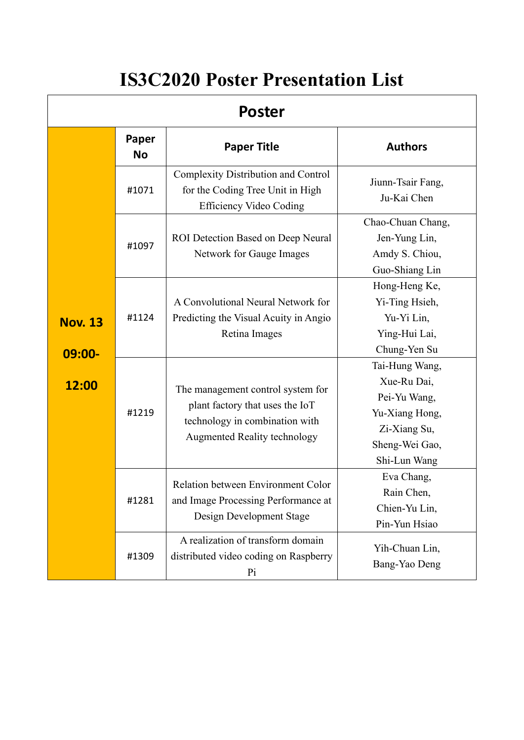# **IS3C2020 Poster Presentation List**

| <b>Poster</b>               |                    |                                                                                                                                        |                                                                                                                   |
|-----------------------------|--------------------|----------------------------------------------------------------------------------------------------------------------------------------|-------------------------------------------------------------------------------------------------------------------|
|                             | Paper<br><b>No</b> | <b>Paper Title</b>                                                                                                                     | <b>Authors</b>                                                                                                    |
|                             | #1071              | <b>Complexity Distribution and Control</b><br>for the Coding Tree Unit in High<br><b>Efficiency Video Coding</b>                       | Jiunn-Tsair Fang,<br>Ju-Kai Chen                                                                                  |
|                             | #1097              | ROI Detection Based on Deep Neural<br>Network for Gauge Images                                                                         | Chao-Chuan Chang,<br>Jen-Yung Lin,<br>Amdy S. Chiou,<br>Guo-Shiang Lin                                            |
| <b>Nov. 13</b><br>$09:00 -$ | #1124              | A Convolutional Neural Network for<br>Predicting the Visual Acuity in Angio<br>Retina Images                                           | Hong-Heng Ke,<br>Yi-Ting Hsieh,<br>Yu-Yi Lin,<br>Ying-Hui Lai,<br>Chung-Yen Su                                    |
| 12:00                       | #1219              | The management control system for<br>plant factory that uses the IoT<br>technology in combination with<br>Augmented Reality technology | Tai-Hung Wang,<br>Xue-Ru Dai,<br>Pei-Yu Wang,<br>Yu-Xiang Hong,<br>Zi-Xiang Su,<br>Sheng-Wei Gao,<br>Shi-Lun Wang |
|                             | #1281              | Relation between Environment Color<br>and Image Processing Performance at<br>Design Development Stage                                  | Eva Chang,<br>Rain Chen,<br>Chien-Yu Lin,<br>Pin-Yun Hsiao                                                        |
|                             | #1309              | A realization of transform domain<br>distributed video coding on Raspberry<br>Pi                                                       | Yih-Chuan Lin,<br>Bang-Yao Deng                                                                                   |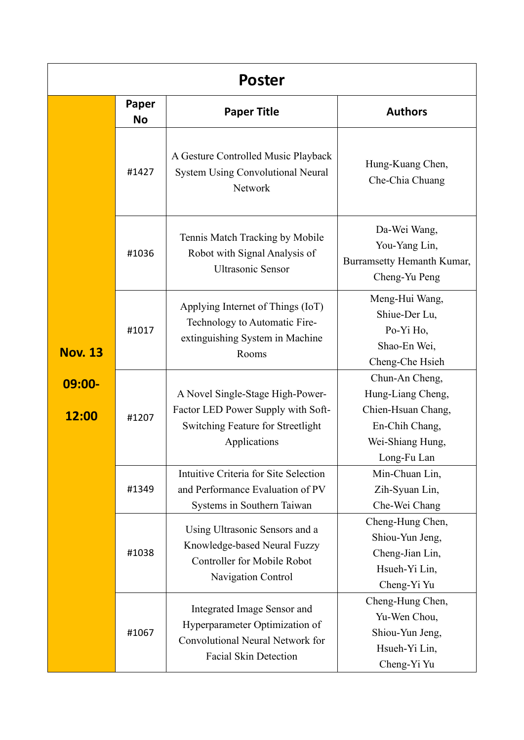| <b>Poster</b>      |                    |                                                                                                                                   |                                                                                                                |
|--------------------|--------------------|-----------------------------------------------------------------------------------------------------------------------------------|----------------------------------------------------------------------------------------------------------------|
|                    | Paper<br><b>No</b> | <b>Paper Title</b>                                                                                                                | <b>Authors</b>                                                                                                 |
|                    | #1427              | A Gesture Controlled Music Playback<br><b>System Using Convolutional Neural</b><br>Network                                        | Hung-Kuang Chen,<br>Che-Chia Chuang                                                                            |
|                    | #1036              | Tennis Match Tracking by Mobile<br>Robot with Signal Analysis of<br><b>Ultrasonic Sensor</b>                                      | Da-Wei Wang,<br>You-Yang Lin,<br>Burramsetty Hemanth Kumar,<br>Cheng-Yu Peng                                   |
| <b>Nov. 13</b>     | #1017              | Applying Internet of Things (IoT)<br>Technology to Automatic Fire-<br>extinguishing System in Machine<br>Rooms                    | Meng-Hui Wang,<br>Shiue-Der Lu,<br>Po-Yi Ho,<br>Shao-En Wei,<br>Cheng-Che Hsieh                                |
| $09:00 -$<br>12:00 | #1207              | A Novel Single-Stage High-Power-<br>Factor LED Power Supply with Soft-<br>Switching Feature for Streetlight<br>Applications       | Chun-An Cheng,<br>Hung-Liang Cheng,<br>Chien-Hsuan Chang,<br>En-Chih Chang,<br>Wei-Shiang Hung,<br>Long-Fu Lan |
|                    | #1349              | Intuitive Criteria for Site Selection<br>and Performance Evaluation of PV<br>Systems in Southern Taiwan                           | Min-Chuan Lin,<br>Zih-Syuan Lin,<br>Che-Wei Chang                                                              |
|                    | #1038              | Using Ultrasonic Sensors and a<br>Knowledge-based Neural Fuzzy<br><b>Controller for Mobile Robot</b><br>Navigation Control        | Cheng-Hung Chen,<br>Shiou-Yun Jeng,<br>Cheng-Jian Lin,<br>Hsueh-Yi Lin,<br>Cheng-Yi Yu                         |
|                    | #1067              | Integrated Image Sensor and<br>Hyperparameter Optimization of<br>Convolutional Neural Network for<br><b>Facial Skin Detection</b> | Cheng-Hung Chen,<br>Yu-Wen Chou,<br>Shiou-Yun Jeng,<br>Hsueh-Yi Lin,<br>Cheng-Yi Yu                            |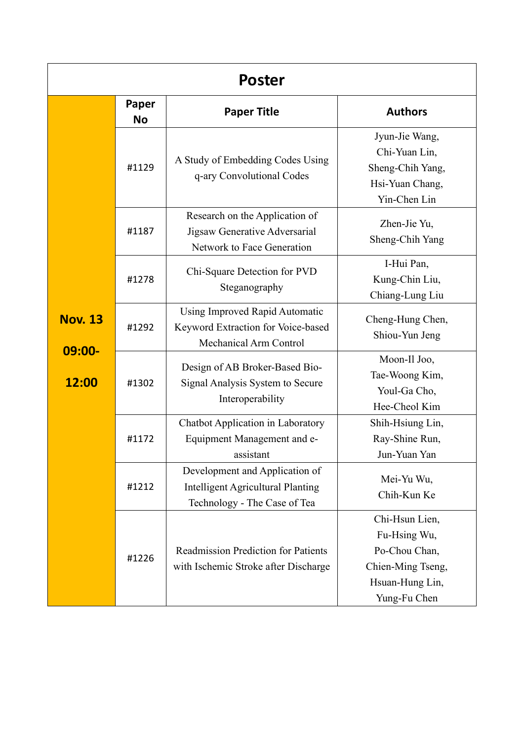| Poster                      |                    |                                                                                                            |                                                                                                         |
|-----------------------------|--------------------|------------------------------------------------------------------------------------------------------------|---------------------------------------------------------------------------------------------------------|
|                             | Paper<br><b>No</b> | <b>Paper Title</b>                                                                                         | <b>Authors</b>                                                                                          |
|                             | #1129              | A Study of Embedding Codes Using<br>q-ary Convolutional Codes                                              | Jyun-Jie Wang,<br>Chi-Yuan Lin,<br>Sheng-Chih Yang,<br>Hsi-Yuan Chang,<br>Yin-Chen Lin                  |
|                             | #1187              | Research on the Application of<br>Jigsaw Generative Adversarial<br>Network to Face Generation              | Zhen-Jie Yu,<br>Sheng-Chih Yang                                                                         |
|                             | #1278              | Chi-Square Detection for PVD<br>Steganography                                                              | I-Hui Pan,<br>Kung-Chin Liu,<br>Chiang-Lung Liu                                                         |
| <b>Nov. 13</b><br>$09:00 -$ | #1292              | Using Improved Rapid Automatic<br>Keyword Extraction for Voice-based<br><b>Mechanical Arm Control</b>      | Cheng-Hung Chen,<br>Shiou-Yun Jeng                                                                      |
| 12:00                       | #1302              | Design of AB Broker-Based Bio-<br>Signal Analysis System to Secure<br>Interoperability                     | Moon-Il Joo,<br>Tae-Woong Kim,<br>Youl-Ga Cho,<br>Hee-Cheol Kim                                         |
|                             | #1172              | Chatbot Application in Laboratory<br>Equipment Management and e-<br>assistant                              | Shih-Hsiung Lin,<br>Ray-Shine Run,<br>Jun-Yuan Yan                                                      |
|                             | #1212              | Development and Application of<br><b>Intelligent Agricultural Planting</b><br>Technology - The Case of Tea | Mei-Yu Wu,<br>Chih-Kun Ke                                                                               |
|                             | #1226              | <b>Readmission Prediction for Patients</b><br>with Ischemic Stroke after Discharge                         | Chi-Hsun Lien,<br>Fu-Hsing Wu,<br>Po-Chou Chan,<br>Chien-Ming Tseng,<br>Hsuan-Hung Lin,<br>Yung-Fu Chen |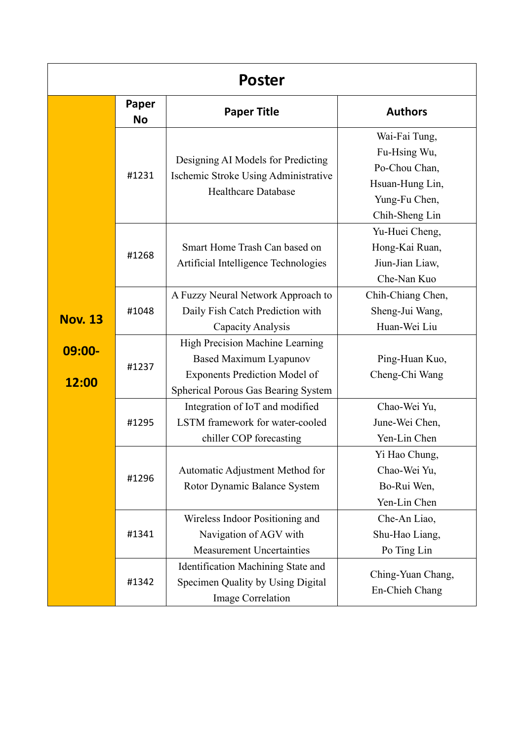| Poster             |                    |                                                                                                                                                        |                                                                                                      |
|--------------------|--------------------|--------------------------------------------------------------------------------------------------------------------------------------------------------|------------------------------------------------------------------------------------------------------|
|                    | Paper<br><b>No</b> | <b>Paper Title</b>                                                                                                                                     | <b>Authors</b>                                                                                       |
|                    | #1231              | Designing AI Models for Predicting<br>Ischemic Stroke Using Administrative<br><b>Healthcare Database</b>                                               | Wai-Fai Tung,<br>Fu-Hsing Wu,<br>Po-Chou Chan,<br>Hsuan-Hung Lin,<br>Yung-Fu Chen,<br>Chih-Sheng Lin |
|                    | #1268              | Smart Home Trash Can based on<br>Artificial Intelligence Technologies                                                                                  | Yu-Huei Cheng,<br>Hong-Kai Ruan,<br>Jiun-Jian Liaw,<br>Che-Nan Kuo                                   |
| <b>Nov. 13</b>     | #1048              | A Fuzzy Neural Network Approach to<br>Daily Fish Catch Prediction with<br>Capacity Analysis                                                            | Chih-Chiang Chen,<br>Sheng-Jui Wang,<br>Huan-Wei Liu                                                 |
| $09:00 -$<br>12:00 | #1237              | High Precision Machine Learning<br><b>Based Maximum Lyapunov</b><br><b>Exponents Prediction Model of</b><br><b>Spherical Porous Gas Bearing System</b> | Ping-Huan Kuo,<br>Cheng-Chi Wang                                                                     |
|                    | #1295              | Integration of IoT and modified<br>LSTM framework for water-cooled<br>chiller COP forecasting                                                          | Chao-Wei Yu,<br>June-Wei Chen,<br>Yen-Lin Chen                                                       |
|                    | #1296              | Automatic Adjustment Method for<br>Rotor Dynamic Balance System                                                                                        | Yi Hao Chung,<br>Chao-Wei Yu,<br>Bo-Rui Wen,<br>Yen-Lin Chen                                         |
|                    | #1341              | Wireless Indoor Positioning and<br>Navigation of AGV with<br><b>Measurement Uncertainties</b>                                                          | Che-An Liao,<br>Shu-Hao Liang,<br>Po Ting Lin                                                        |
|                    | #1342              | Identification Machining State and<br>Specimen Quality by Using Digital<br>Image Correlation                                                           | Ching-Yuan Chang,<br>En-Chieh Chang                                                                  |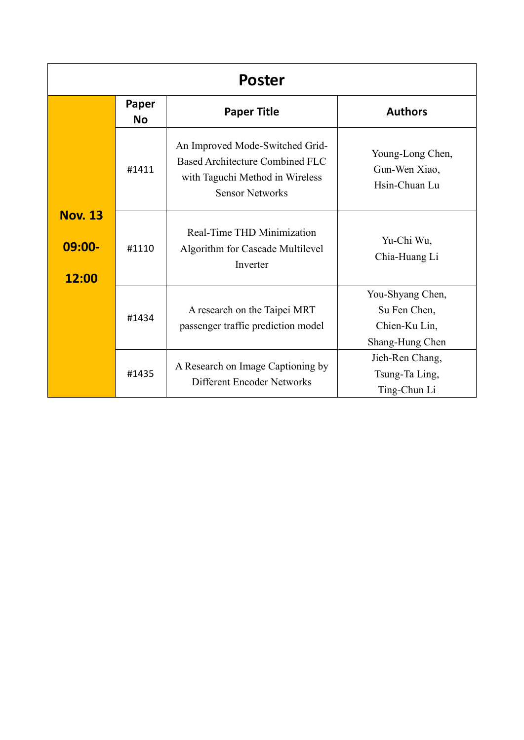| <b>Poster</b>                        |                    |                                                                                                                                 |                                                                      |
|--------------------------------------|--------------------|---------------------------------------------------------------------------------------------------------------------------------|----------------------------------------------------------------------|
|                                      | Paper<br><b>No</b> | <b>Paper Title</b>                                                                                                              | <b>Authors</b>                                                       |
|                                      | #1411              | An Improved Mode-Switched Grid-<br>Based Architecture Combined FLC<br>with Taguchi Method in Wireless<br><b>Sensor Networks</b> | Young-Long Chen,<br>Gun-Wen Xiao,<br>Hsin-Chuan Lu                   |
| <b>Nov. 13</b><br>$09:00 -$<br>12:00 | #1110              | Real-Time THD Minimization<br>Algorithm for Cascade Multilevel<br>Inverter                                                      | Yu-Chi Wu,<br>Chia-Huang Li                                          |
|                                      | #1434              | A research on the Taipei MRT<br>passenger traffic prediction model                                                              | You-Shyang Chen,<br>Su Fen Chen,<br>Chien-Ku Lin,<br>Shang-Hung Chen |
|                                      | #1435              | A Research on Image Captioning by<br>Different Encoder Networks                                                                 | Jieh-Ren Chang,<br>Tsung-Ta Ling,<br>Ting-Chun Li                    |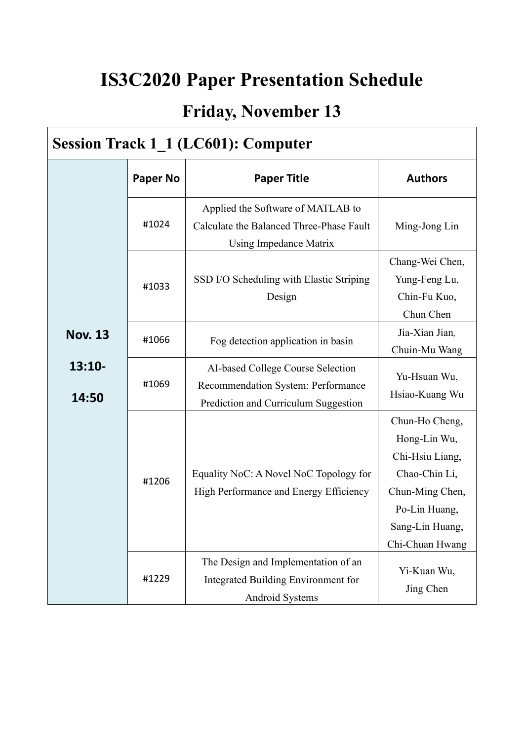## **IS3C2020 Paper Presentation Schedule**

#### **Friday, November 13**

#### **Session Track 1\_1 (LC601): Computer Nov. 13 13:10- 14:50 Paper No Paper Title Authors** #1024 Applied the Software of MATLAB to Calculate the Balanced Three-Phase Fault Using Impedance Matrix Ming-Jong Lin #1033 SSD I/O Scheduling with Elastic Striping Design Chang-Wei Chen, Yung-Feng Lu, Chin-Fu Kuo, Chun Chen #1066 Fog detection application in basin Jia-Xian Jian*,* Chuin-Mu Wang #1069 AI-based College Course Selection Recommendation System: Performance Prediction and Curriculum Suggestion Yu-Hsuan Wu, Hsiao-Kuang Wu #1206 Equality NoC: A Novel NoC Topology for High Performance and Energy Efficiency Chun-Ho Cheng, Hong-Lin Wu, Chi-Hsiu Liang, Chao-Chin Li, Chun-Ming Chen, Po-Lin Huang, Sang-Lin Huang, Chi-Chuan Hwang #1229 The Design and Implementation of an Integrated Building Environment for Android Systems Yi-Kuan Wu, Jing Chen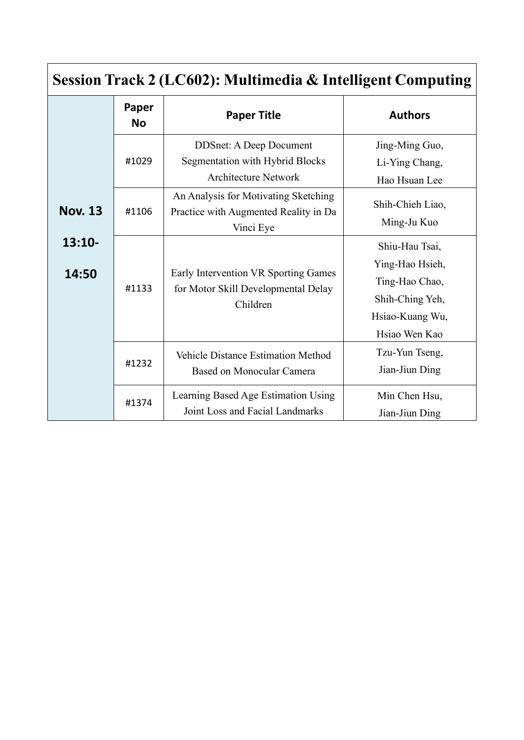| Session Track 2 (LC602): Multimedia & Intelligent Computing |                    |                                                                                                  |                                                                                                            |
|-------------------------------------------------------------|--------------------|--------------------------------------------------------------------------------------------------|------------------------------------------------------------------------------------------------------------|
|                                                             | Paper<br><b>No</b> | <b>Paper Title</b>                                                                               | <b>Authors</b>                                                                                             |
|                                                             | #1029              | <b>DDSnet: A Deep Document</b><br>Segmentation with Hybrid Blocks<br><b>Architecture Network</b> | Jing-Ming Guo,<br>Li-Ying Chang,<br>Hao Hsuan Lee                                                          |
| <b>Nov. 13</b>                                              | #1106              | An Analysis for Motivating Sketching<br>Practice with Augmented Reality in Da<br>Vinci Eye       | Shih-Chieh Liao,<br>Ming-Ju Kuo                                                                            |
| $13:10-$<br>14:50                                           | #1133              | Early Intervention VR Sporting Games<br>for Motor Skill Developmental Delay<br>Children          | Shiu-Hau Tsai,<br>Ying-Hao Hsieh,<br>Ting-Hao Chao,<br>Shih-Ching Yeh,<br>Hsiao-Kuang Wu,<br>Hsiao Wen Kao |
|                                                             | #1232              | <b>Vehicle Distance Estimation Method</b><br>Based on Monocular Camera                           | Tzu-Yun Tseng,<br>Jian-Jiun Ding                                                                           |
|                                                             | #1374              | Learning Based Age Estimation Using<br>Joint Loss and Facial Landmarks                           | Min Chen Hsu,<br>Jian-Jiun Ding                                                                            |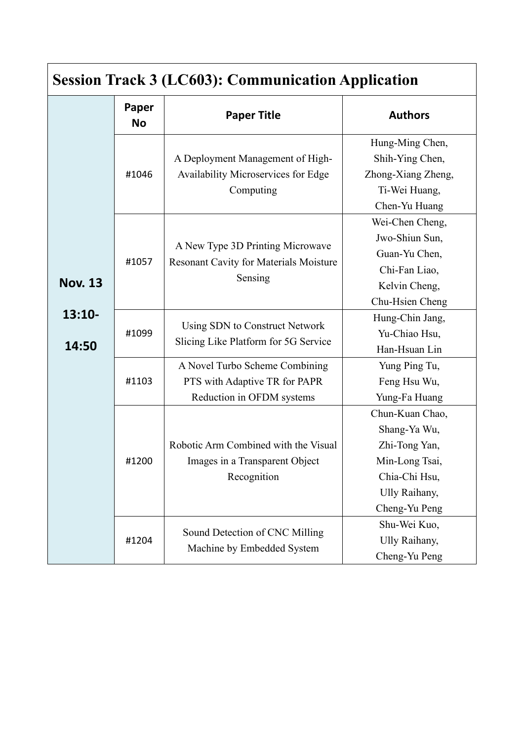| <b>Session Track 3 (LC603): Communication Application</b> |                    |                                                                                              |                                                                                                                                       |
|-----------------------------------------------------------|--------------------|----------------------------------------------------------------------------------------------|---------------------------------------------------------------------------------------------------------------------------------------|
|                                                           | Paper<br><b>No</b> | <b>Paper Title</b>                                                                           | <b>Authors</b>                                                                                                                        |
|                                                           | #1046              | A Deployment Management of High-<br>Availability Microservices for Edge<br>Computing         | Hung-Ming Chen,<br>Shih-Ying Chen,<br>Zhong-Xiang Zheng,<br>Ti-Wei Huang,<br>Chen-Yu Huang                                            |
| <b>Nov. 13</b>                                            | #1057              | A New Type 3D Printing Microwave<br><b>Resonant Cavity for Materials Moisture</b><br>Sensing | Wei-Chen Cheng,<br>Jwo-Shiun Sun,<br>Guan-Yu Chen,<br>Chi-Fan Liao,<br>Kelvin Cheng,<br>Chu-Hsien Cheng                               |
| $13:10-$<br>14:50                                         | #1099              | Using SDN to Construct Network<br>Slicing Like Platform for 5G Service                       | Hung-Chin Jang,<br>Yu-Chiao Hsu,<br>Han-Hsuan Lin                                                                                     |
|                                                           | #1103              | A Novel Turbo Scheme Combining<br>PTS with Adaptive TR for PAPR<br>Reduction in OFDM systems | Yung Ping Tu,<br>Feng Hsu Wu,<br>Yung-Fa Huang                                                                                        |
|                                                           | #1200              | Robotic Arm Combined with the Visual<br>Images in a Transparent Object<br>Recognition        | Chun-Kuan Chao,<br>Shang-Ya Wu,<br>Zhi-Tong Yan,<br>Min-Long Tsai,<br>Chia-Chi Hsu,<br>Ully Raihany,<br>Cheng-Yu Peng<br>Shu-Wei Kuo, |
|                                                           | #1204              | Sound Detection of CNC Milling<br>Machine by Embedded System                                 | Ully Raihany,<br>Cheng-Yu Peng                                                                                                        |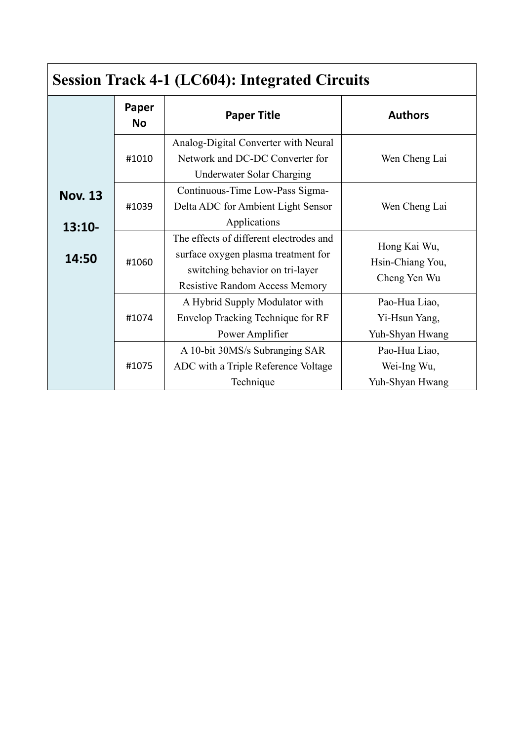| <b>Session Track 4-1 (LC604): Integrated Circuits</b> |                    |                                                                                                                                                            |                                                   |
|-------------------------------------------------------|--------------------|------------------------------------------------------------------------------------------------------------------------------------------------------------|---------------------------------------------------|
|                                                       | Paper<br><b>No</b> | <b>Paper Title</b>                                                                                                                                         | <b>Authors</b>                                    |
|                                                       | #1010              | Analog-Digital Converter with Neural<br>Network and DC-DC Converter for<br>Underwater Solar Charging                                                       | Wen Cheng Lai                                     |
| <b>Nov. 13</b><br>$13:10-$                            | #1039              | Continuous-Time Low-Pass Sigma-<br>Delta ADC for Ambient Light Sensor<br>Applications                                                                      | Wen Cheng Lai                                     |
| 14:50                                                 | #1060              | The effects of different electrodes and<br>surface oxygen plasma treatment for<br>switching behavior on tri-layer<br><b>Resistive Random Access Memory</b> | Hong Kai Wu,<br>Hsin-Chiang You,<br>Cheng Yen Wu  |
|                                                       | #1074              | A Hybrid Supply Modulator with<br>Envelop Tracking Technique for RF<br>Power Amplifier                                                                     | Pao-Hua Liao,<br>Yi-Hsun Yang,<br>Yuh-Shyan Hwang |
|                                                       | #1075              | A 10-bit 30MS/s Subranging SAR<br>ADC with a Triple Reference Voltage<br>Technique                                                                         | Pao-Hua Liao,<br>Wei-Ing Wu,<br>Yuh-Shyan Hwang   |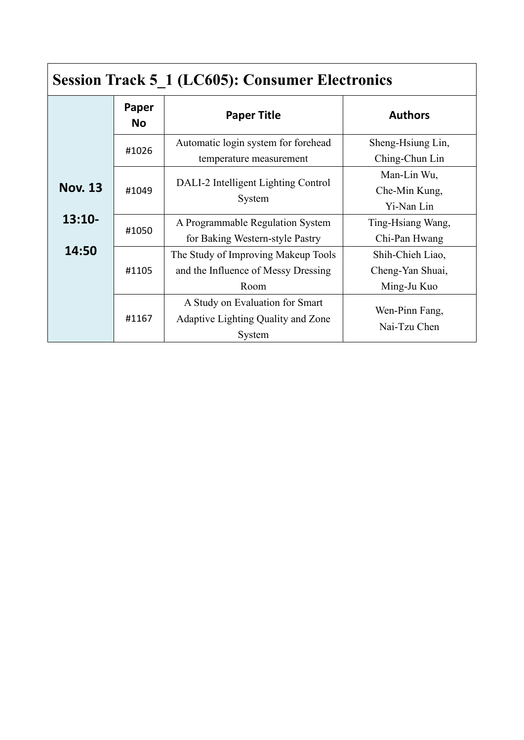| <b>Session Track 5_1 (LC605): Consumer Electronics</b> |                    |                                                                                    |                                                     |
|--------------------------------------------------------|--------------------|------------------------------------------------------------------------------------|-----------------------------------------------------|
|                                                        | Paper<br><b>No</b> | <b>Paper Title</b>                                                                 | <b>Authors</b>                                      |
|                                                        | #1026              | Automatic login system for forehead<br>temperature measurement                     | Sheng-Hsiung Lin,<br>Ching-Chun Lin                 |
| <b>Nov. 13</b>                                         | #1049              | DALI-2 Intelligent Lighting Control<br>System                                      | Man-Lin Wu,<br>Che-Min Kung,<br>Yi-Nan Lin          |
| $13:10-$                                               | #1050              | A Programmable Regulation System<br>for Baking Western-style Pastry                | Ting-Hsiang Wang,<br>Chi-Pan Hwang                  |
| 14:50                                                  | #1105              | The Study of Improving Makeup Tools<br>and the Influence of Messy Dressing<br>Room | Shih-Chieh Liao,<br>Cheng-Yan Shuai,<br>Ming-Ju Kuo |
|                                                        | #1167              | A Study on Evaluation for Smart<br>Adaptive Lighting Quality and Zone<br>System    | Wen-Pinn Fang,<br>Nai-Tzu Chen                      |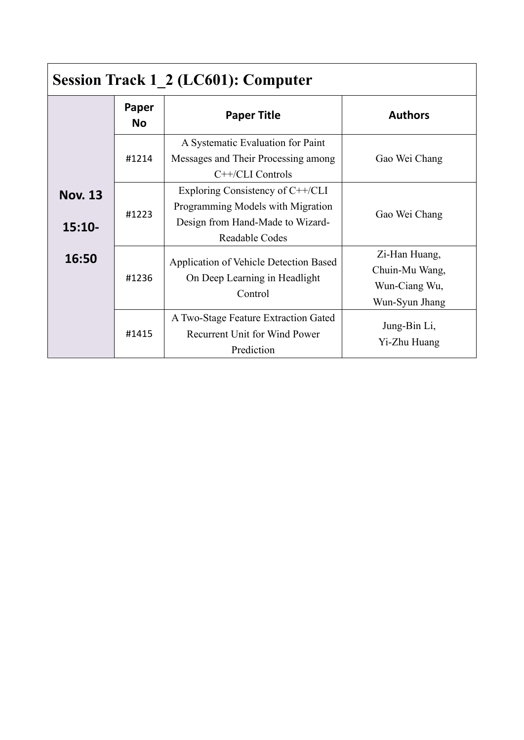| <b>Session Track 1 2 (LC601): Computer</b> |                    |                                                                                                                             |                                                                    |
|--------------------------------------------|--------------------|-----------------------------------------------------------------------------------------------------------------------------|--------------------------------------------------------------------|
|                                            | Paper<br><b>No</b> | <b>Paper Title</b>                                                                                                          | <b>Authors</b>                                                     |
|                                            | #1214              | A Systematic Evaluation for Paint<br>Messages and Their Processing among<br>$C++/CLI$ Controls                              | Gao Wei Chang                                                      |
| <b>Nov. 13</b><br>$15:10-$                 | #1223              | Exploring Consistency of C++/CLI<br>Programming Models with Migration<br>Design from Hand-Made to Wizard-<br>Readable Codes | Gao Wei Chang                                                      |
| 16:50                                      | #1236              | Application of Vehicle Detection Based<br>On Deep Learning in Headlight<br>Control                                          | Zi-Han Huang,<br>Chuin-Mu Wang,<br>Wun-Ciang Wu,<br>Wun-Syun Jhang |
|                                            | #1415              | A Two-Stage Feature Extraction Gated<br><b>Recurrent Unit for Wind Power</b><br>Prediction                                  | Jung-Bin Li,<br>Yi-Zhu Huang                                       |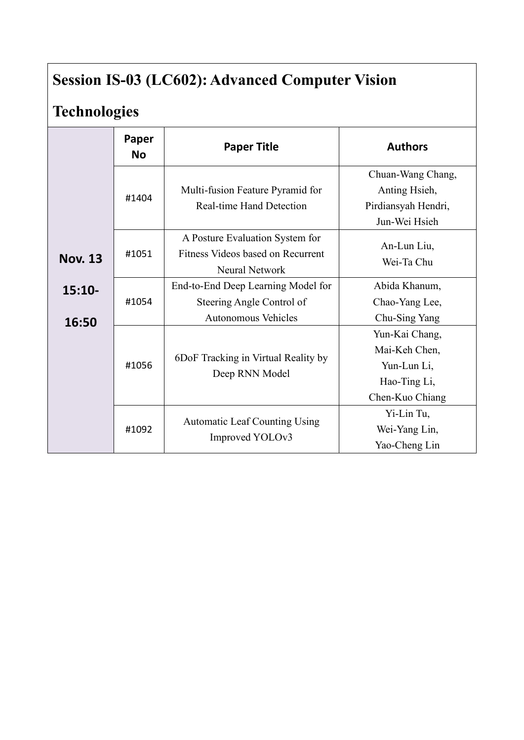# **Session IS-03 (LC602): Advanced Computer Vision**

# **Technologies**

|                   | Paper<br><b>No</b> | <b>Paper Title</b>                                                                            | <b>Authors</b>                                                                    |
|-------------------|--------------------|-----------------------------------------------------------------------------------------------|-----------------------------------------------------------------------------------|
|                   | #1404              | Multi-fusion Feature Pyramid for<br><b>Real-time Hand Detection</b>                           | Chuan-Wang Chang,<br>Anting Hsieh,<br>Pirdiansyah Hendri,<br>Jun-Wei Hsieh        |
| <b>Nov. 13</b>    | #1051              | A Posture Evaluation System for<br>Fitness Videos based on Recurrent<br><b>Neural Network</b> | An-Lun Liu,<br>Wei-Ta Chu                                                         |
| $15:10-$<br>16:50 | #1054              | End-to-End Deep Learning Model for<br>Steering Angle Control of<br><b>Autonomous Vehicles</b> | Abida Khanum,<br>Chao-Yang Lee,<br>Chu-Sing Yang                                  |
|                   | #1056              | 6DoF Tracking in Virtual Reality by<br>Deep RNN Model                                         | Yun-Kai Chang,<br>Mai-Keh Chen,<br>Yun-Lun Li,<br>Hao-Ting Li,<br>Chen-Kuo Chiang |
|                   | #1092              | <b>Automatic Leaf Counting Using</b><br>Improved YOLOv3                                       | Yi-Lin Tu,<br>Wei-Yang Lin,<br>Yao-Cheng Lin                                      |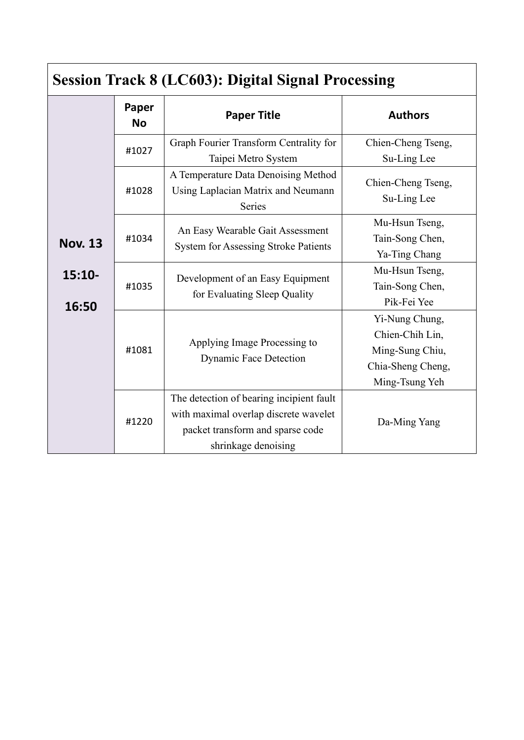| <b>Session Track 8 (LC603): Digital Signal Processing</b> |                    |                                                                                                                                              |                                                                                             |
|-----------------------------------------------------------|--------------------|----------------------------------------------------------------------------------------------------------------------------------------------|---------------------------------------------------------------------------------------------|
|                                                           | Paper<br><b>No</b> | <b>Paper Title</b>                                                                                                                           | <b>Authors</b>                                                                              |
|                                                           | #1027              | Graph Fourier Transform Centrality for<br>Taipei Metro System                                                                                | Chien-Cheng Tseng,<br>Su-Ling Lee                                                           |
|                                                           | #1028              | A Temperature Data Denoising Method<br>Using Laplacian Matrix and Neumann<br>Series                                                          | Chien-Cheng Tseng,<br>Su-Ling Lee                                                           |
| <b>Nov. 13</b>                                            | #1034              | An Easy Wearable Gait Assessment<br><b>System for Assessing Stroke Patients</b>                                                              | Mu-Hsun Tseng,<br>Tain-Song Chen,<br>Ya-Ting Chang                                          |
| $15:10-$<br>16:50                                         | #1035              | Development of an Easy Equipment<br>for Evaluating Sleep Quality                                                                             | Mu-Hsun Tseng,<br>Tain-Song Chen,<br>Pik-Fei Yee                                            |
|                                                           | #1081              | Applying Image Processing to<br><b>Dynamic Face Detection</b>                                                                                | Yi-Nung Chung,<br>Chien-Chih Lin,<br>Ming-Sung Chiu,<br>Chia-Sheng Cheng,<br>Ming-Tsung Yeh |
|                                                           | #1220              | The detection of bearing incipient fault<br>with maximal overlap discrete wavelet<br>packet transform and sparse code<br>shrinkage denoising | Da-Ming Yang                                                                                |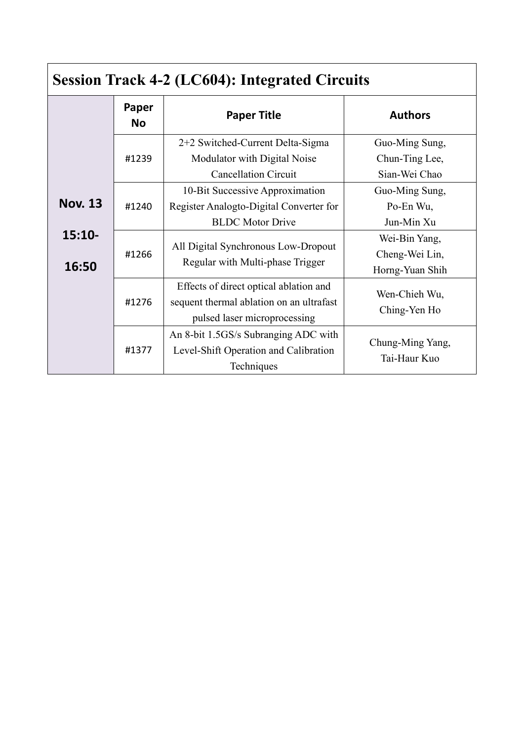| <b>Session Track 4-2 (LC604): Integrated Circuits</b> |                    |                                                                                                                    |                                                    |
|-------------------------------------------------------|--------------------|--------------------------------------------------------------------------------------------------------------------|----------------------------------------------------|
|                                                       | Paper<br><b>No</b> | <b>Paper Title</b>                                                                                                 | <b>Authors</b>                                     |
|                                                       | #1239              | 2+2 Switched-Current Delta-Sigma<br>Modulator with Digital Noise<br><b>Cancellation Circuit</b>                    | Guo-Ming Sung,<br>Chun-Ting Lee,<br>Sian-Wei Chao  |
| <b>Nov. 13</b>                                        | #1240              | 10-Bit Successive Approximation<br>Register Analogto-Digital Converter for<br><b>BLDC</b> Motor Drive              | Guo-Ming Sung,<br>Po-En Wu,<br>Jun-Min Xu          |
| $15:10-$<br>16:50                                     | #1266              | All Digital Synchronous Low-Dropout<br>Regular with Multi-phase Trigger                                            | Wei-Bin Yang,<br>Cheng-Wei Lin,<br>Horng-Yuan Shih |
|                                                       | #1276              | Effects of direct optical ablation and<br>sequent thermal ablation on an ultrafast<br>pulsed laser microprocessing | Wen-Chieh Wu,<br>Ching-Yen Ho                      |
|                                                       | #1377              | An 8-bit 1.5GS/s Subranging ADC with<br>Level-Shift Operation and Calibration<br>Techniques                        | Chung-Ming Yang,<br>Tai-Haur Kuo                   |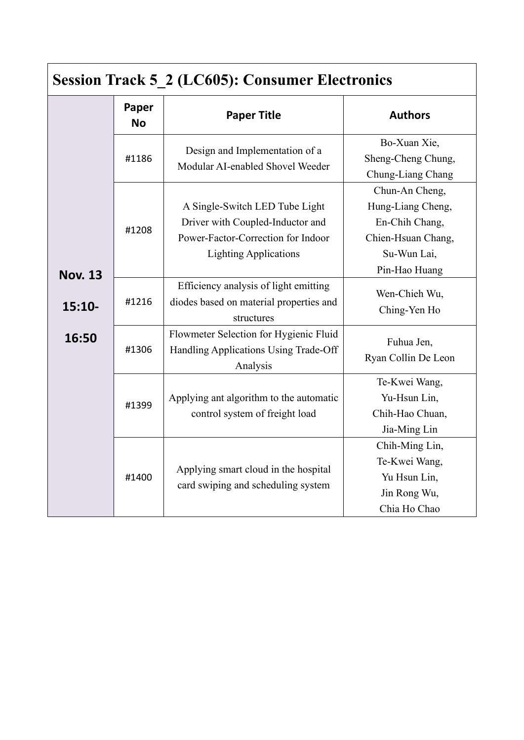| <b>Session Track 5 2 (LC605): Consumer Electronics</b> |                    |                                                                                                                                          |                                                                                                             |
|--------------------------------------------------------|--------------------|------------------------------------------------------------------------------------------------------------------------------------------|-------------------------------------------------------------------------------------------------------------|
|                                                        | Paper<br><b>No</b> | <b>Paper Title</b>                                                                                                                       | <b>Authors</b>                                                                                              |
|                                                        | #1186              | Design and Implementation of a<br>Modular AI-enabled Shovel Weeder                                                                       | Bo-Xuan Xie,<br>Sheng-Cheng Chung,<br>Chung-Liang Chang                                                     |
| <b>Nov. 13</b>                                         | #1208              | A Single-Switch LED Tube Light<br>Driver with Coupled-Inductor and<br>Power-Factor-Correction for Indoor<br><b>Lighting Applications</b> | Chun-An Cheng,<br>Hung-Liang Cheng,<br>En-Chih Chang,<br>Chien-Hsuan Chang,<br>Su-Wun Lai,<br>Pin-Hao Huang |
| $15:10-$                                               | #1216              | Efficiency analysis of light emitting<br>diodes based on material properties and<br>structures                                           | Wen-Chieh Wu,<br>Ching-Yen Ho                                                                               |
| 16:50                                                  | #1306              | Flowmeter Selection for Hygienic Fluid<br>Handling Applications Using Trade-Off<br>Analysis                                              | Fuhua Jen,<br>Ryan Collin De Leon                                                                           |
|                                                        | #1399              | Applying ant algorithm to the automatic<br>control system of freight load                                                                | Te-Kwei Wang,<br>Yu-Hsun Lin,<br>Chih-Hao Chuan,<br>Jia-Ming Lin                                            |
|                                                        | #1400              | Applying smart cloud in the hospital<br>card swiping and scheduling system                                                               | Chih-Ming Lin,<br>Te-Kwei Wang,<br>Yu Hsun Lin,<br>Jin Rong Wu,<br>Chia Ho Chao                             |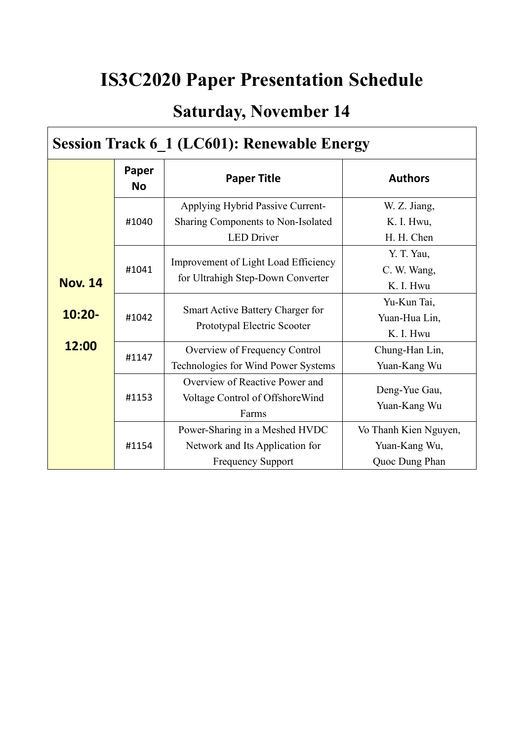# **IS3C2020 Paper Presentation Schedule**

## **Saturday, November 14**

## **Session Track 6\_1 (LC601): Renewable Energy**

|                | Paper<br><b>No</b> | <b>Paper Title</b>                                                                            | <b>Authors</b>                                           |  |
|----------------|--------------------|-----------------------------------------------------------------------------------------------|----------------------------------------------------------|--|
|                | #1040              | Applying Hybrid Passive Current-<br>Sharing Components to Non-Isolated<br><b>LED</b> Driver   | W. Z. Jiang,<br>K. I. Hwu,<br>H. H. Chen                 |  |
| <b>Nov. 14</b> | #1041              | Improvement of Light Load Efficiency<br>for Ultrahigh Step-Down Converter                     | Y. T. Yau,<br>C. W. Wang,<br>K. I. Hwu                   |  |
| $10:20 -$      | #1042              | Smart Active Battery Charger for<br>Prototypal Electric Scooter                               | Yu-Kun Tai,<br>Yuan-Hua Lin,<br>K. I. Hwu                |  |
| 12:00          | #1147              | Overview of Frequency Control<br>Technologies for Wind Power Systems                          | Chung-Han Lin,<br>Yuan-Kang Wu                           |  |
|                | #1153              | Overview of Reactive Power and<br>Voltage Control of Offshore Wind<br>Farms                   | Deng-Yue Gau,<br>Yuan-Kang Wu                            |  |
|                | #1154              | Power-Sharing in a Meshed HVDC<br>Network and Its Application for<br><b>Frequency Support</b> | Vo Thanh Kien Nguyen,<br>Yuan-Kang Wu,<br>Quoc Dung Phan |  |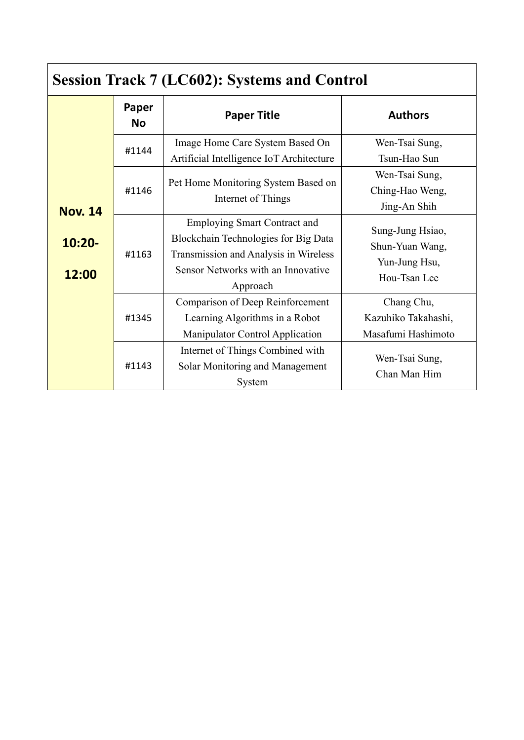| <b>Session Track 7 (LC602): Systems and Control</b> |                    |                                                                                                                                                                        |                                                                      |
|-----------------------------------------------------|--------------------|------------------------------------------------------------------------------------------------------------------------------------------------------------------------|----------------------------------------------------------------------|
|                                                     | Paper<br><b>No</b> | <b>Paper Title</b>                                                                                                                                                     | <b>Authors</b>                                                       |
|                                                     | #1144              | Image Home Care System Based On<br>Artificial Intelligence IoT Architecture                                                                                            | Wen-Tsai Sung,<br>Tsun-Hao Sun                                       |
| <b>Nov. 14</b>                                      | #1146              | Pet Home Monitoring System Based on<br>Internet of Things                                                                                                              | Wen-Tsai Sung,<br>Ching-Hao Weng,<br>Jing-An Shih                    |
| $10:20 -$<br>12:00                                  | #1163              | <b>Employing Smart Contract and</b><br>Blockchain Technologies for Big Data<br>Transmission and Analysis in Wireless<br>Sensor Networks with an Innovative<br>Approach | Sung-Jung Hsiao,<br>Shun-Yuan Wang,<br>Yun-Jung Hsu,<br>Hou-Tsan Lee |
|                                                     | #1345              | Comparison of Deep Reinforcement<br>Learning Algorithms in a Robot<br><b>Manipulator Control Application</b>                                                           | Chang Chu,<br>Kazuhiko Takahashi,<br>Masafumi Hashimoto              |
|                                                     | #1143              | Internet of Things Combined with<br>Solar Monitoring and Management<br>System                                                                                          | Wen-Tsai Sung,<br>Chan Man Him                                       |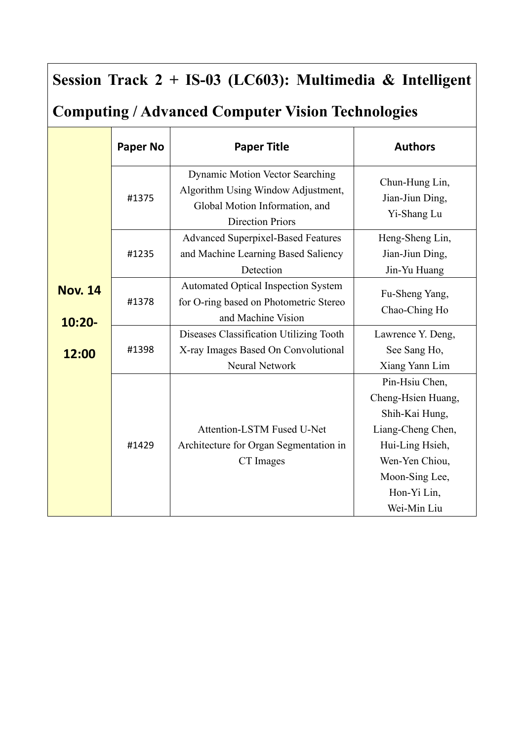## **Session Track 2 + IS-03 (LC603): Multimedia & Intelligent**

## **Computing / Advanced Computer Vision Technologies**

|                             | <b>Paper No</b> | <b>Paper Title</b>                                                                                                                        | <b>Authors</b>                                                                                                                                                   |
|-----------------------------|-----------------|-------------------------------------------------------------------------------------------------------------------------------------------|------------------------------------------------------------------------------------------------------------------------------------------------------------------|
|                             | #1375           | <b>Dynamic Motion Vector Searching</b><br>Algorithm Using Window Adjustment,<br>Global Motion Information, and<br><b>Direction Priors</b> | Chun-Hung Lin,<br>Jian-Jiun Ding,<br>Yi-Shang Lu                                                                                                                 |
|                             | #1235           | <b>Advanced Superpixel-Based Features</b><br>and Machine Learning Based Saliency<br>Detection                                             | Heng-Sheng Lin,<br>Jian-Jiun Ding,<br>Jin-Yu Huang                                                                                                               |
| <b>Nov. 14</b><br>$10:20 -$ | #1378           | <b>Automated Optical Inspection System</b><br>for O-ring based on Photometric Stereo<br>and Machine Vision                                | Fu-Sheng Yang,<br>Chao-Ching Ho                                                                                                                                  |
| 12:00                       | #1398           | Diseases Classification Utilizing Tooth<br>X-ray Images Based On Convolutional<br><b>Neural Network</b>                                   | Lawrence Y. Deng,<br>See Sang Ho,<br>Xiang Yann Lim                                                                                                              |
|                             | #1429           | Attention-LSTM Fused U-Net<br>Architecture for Organ Segmentation in<br>CT Images                                                         | Pin-Hsiu Chen,<br>Cheng-Hsien Huang,<br>Shih-Kai Hung,<br>Liang-Cheng Chen,<br>Hui-Ling Hsieh,<br>Wen-Yen Chiou,<br>Moon-Sing Lee,<br>Hon-Yi Lin,<br>Wei-Min Liu |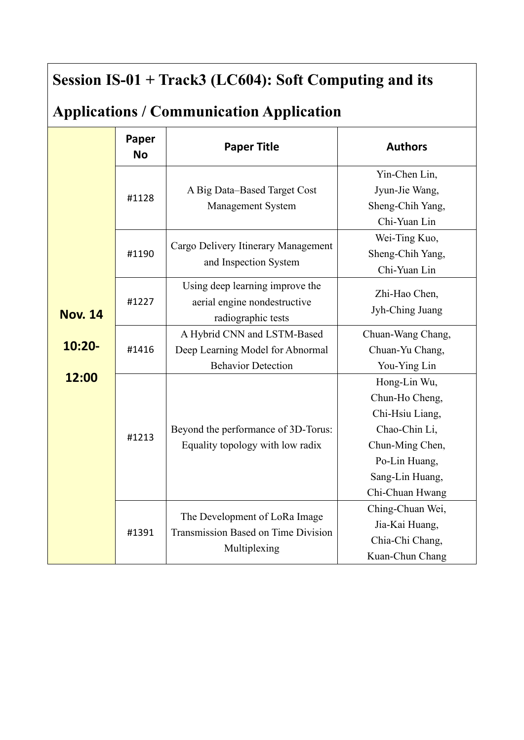## **Session IS-01 + Track3 (LC604): Soft Computing and its**

## **Applications / Communication Application**

|                | Paper<br><b>No</b> | <b>Paper Title</b>                           | <b>Authors</b>    |
|----------------|--------------------|----------------------------------------------|-------------------|
|                |                    |                                              | Yin-Chen Lin,     |
|                | #1128              | A Big Data-Based Target Cost                 | Jyun-Jie Wang,    |
|                |                    | Management System                            | Sheng-Chih Yang,  |
|                |                    |                                              | Chi-Yuan Lin      |
|                |                    |                                              | Wei-Ting Kuo,     |
|                | #1190              | Cargo Delivery Itinerary Management          | Sheng-Chih Yang,  |
|                |                    | and Inspection System                        | Chi-Yuan Lin      |
|                |                    | Using deep learning improve the              | Zhi-Hao Chen,     |
|                | #1227              | aerial engine nondestructive                 | Jyh-Ching Juang   |
| <b>Nov. 14</b> |                    | radiographic tests                           |                   |
|                |                    | A Hybrid CNN and LSTM-Based                  | Chuan-Wang Chang, |
| $10:20 -$      | #1416              | Deep Learning Model for Abnormal             | Chuan-Yu Chang,   |
|                |                    | <b>Behavior Detection</b>                    | You-Ying Lin      |
| 12:00          |                    |                                              | Hong-Lin Wu,      |
|                |                    |                                              | Chun-Ho Cheng,    |
|                |                    |                                              | Chi-Hsiu Liang,   |
|                | #1213              | Beyond the performance of 3D-Torus:          | Chao-Chin Li,     |
|                |                    | Equality topology with low radix             | Chun-Ming Chen,   |
|                |                    |                                              | Po-Lin Huang,     |
|                |                    |                                              | Sang-Lin Huang,   |
|                |                    |                                              | Chi-Chuan Hwang   |
|                |                    | The Development of LoRa Image                | Ching-Chuan Wei,  |
|                |                    | Transmission Based on Time Division<br>#1391 | Jia-Kai Huang,    |
|                |                    |                                              | Chia-Chi Chang,   |
|                |                    | Multiplexing                                 | Kuan-Chun Chang   |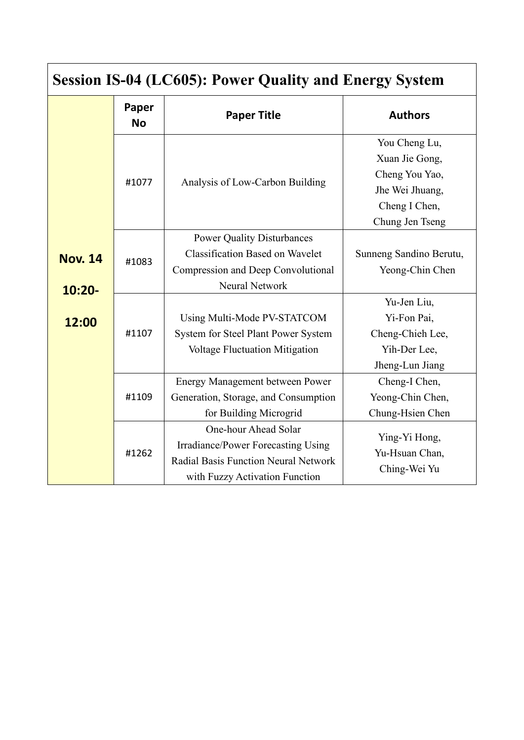| <b>Session IS-04 (LC605): Power Quality and Energy System</b> |                    |                                                                                                                                            |                                                                                                          |  |
|---------------------------------------------------------------|--------------------|--------------------------------------------------------------------------------------------------------------------------------------------|----------------------------------------------------------------------------------------------------------|--|
|                                                               | Paper<br><b>No</b> | <b>Paper Title</b>                                                                                                                         | <b>Authors</b>                                                                                           |  |
|                                                               | #1077              | Analysis of Low-Carbon Building                                                                                                            | You Cheng Lu,<br>Xuan Jie Gong,<br>Cheng You Yao,<br>Jhe Wei Jhuang,<br>Cheng I Chen,<br>Chung Jen Tseng |  |
| <b>Nov. 14</b><br>$10:20 -$                                   | #1083              | <b>Power Quality Disturbances</b><br><b>Classification Based on Wavelet</b><br>Compression and Deep Convolutional<br><b>Neural Network</b> | Sunneng Sandino Berutu,<br>Yeong-Chin Chen                                                               |  |
| 12:00                                                         | #1107              | Using Multi-Mode PV-STATCOM<br>System for Steel Plant Power System<br><b>Voltage Fluctuation Mitigation</b>                                | Yu-Jen Liu,<br>Yi-Fon Pai,<br>Cheng-Chieh Lee,<br>Yih-Der Lee,<br>Jheng-Lun Jiang                        |  |
|                                                               | #1109              | <b>Energy Management between Power</b><br>Generation, Storage, and Consumption<br>for Building Microgrid                                   | Cheng-I Chen,<br>Yeong-Chin Chen,<br>Chung-Hsien Chen                                                    |  |
|                                                               | #1262              | One-hour Ahead Solar<br>Irradiance/Power Forecasting Using<br>Radial Basis Function Neural Network<br>with Fuzzy Activation Function       | Ying-Yi Hong,<br>Yu-Hsuan Chan,<br>Ching-Wei Yu                                                          |  |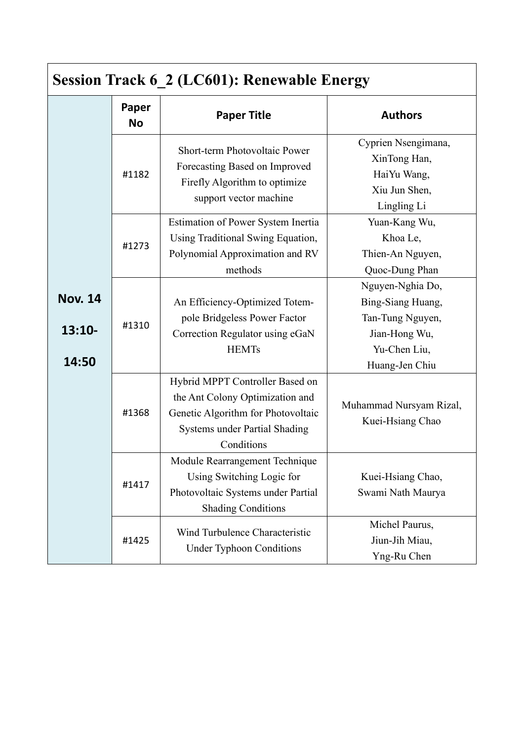| <b>Session Track 6_2 (LC601): Renewable Energy</b> |                    |                                                                                                                                                                |                                                                                                              |
|----------------------------------------------------|--------------------|----------------------------------------------------------------------------------------------------------------------------------------------------------------|--------------------------------------------------------------------------------------------------------------|
|                                                    | Paper<br><b>No</b> | <b>Paper Title</b>                                                                                                                                             | <b>Authors</b>                                                                                               |
|                                                    | #1182              | Short-term Photovoltaic Power<br>Forecasting Based on Improved<br>Firefly Algorithm to optimize<br>support vector machine                                      | Cyprien Nsengimana,<br>XinTong Han,<br>HaiYu Wang,<br>Xiu Jun Shen,<br>Lingling Li                           |
|                                                    | #1273              | Estimation of Power System Inertia<br>Using Traditional Swing Equation,<br>Polynomial Approximation and RV<br>methods                                          | Yuan-Kang Wu,<br>Khoa Le,<br>Thien-An Nguyen,<br>Quoc-Dung Phan                                              |
| <b>Nov. 14</b><br>$13:10-$<br>14:50                | #1310              | An Efficiency-Optimized Totem-<br>pole Bridgeless Power Factor<br>Correction Regulator using eGaN<br><b>HEMTs</b>                                              | Nguyen-Nghia Do,<br>Bing-Siang Huang,<br>Tan-Tung Nguyen,<br>Jian-Hong Wu,<br>Yu-Chen Liu,<br>Huang-Jen Chiu |
|                                                    | #1368              | Hybrid MPPT Controller Based on<br>the Ant Colony Optimization and<br>Genetic Algorithm for Photovoltaic<br><b>Systems under Partial Shading</b><br>Conditions | Muhammad Nursyam Rizal,<br>Kuei-Hsiang Chao                                                                  |
|                                                    | #1417              | Module Rearrangement Technique<br>Using Switching Logic for<br>Photovoltaic Systems under Partial<br><b>Shading Conditions</b>                                 | Kuei-Hsiang Chao,<br>Swami Nath Maurya                                                                       |
|                                                    | #1425              | Wind Turbulence Characteristic<br><b>Under Typhoon Conditions</b>                                                                                              | Michel Paurus,<br>Jiun-Jih Miau,<br>Yng-Ru Chen                                                              |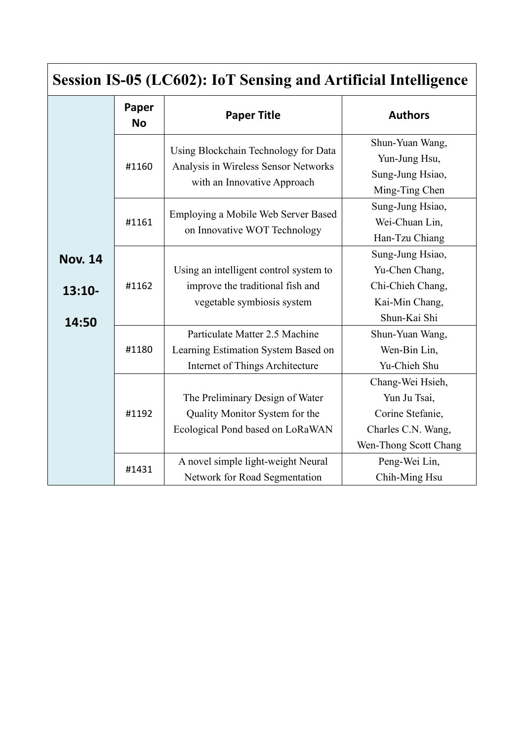| <b>Session IS-05 (LC602): IoT Sensing and Artificial Intelligence</b> |                    |                                                                                                                                                                              |                                                                                                                                       |
|-----------------------------------------------------------------------|--------------------|------------------------------------------------------------------------------------------------------------------------------------------------------------------------------|---------------------------------------------------------------------------------------------------------------------------------------|
|                                                                       | Paper<br><b>No</b> | <b>Paper Title</b>                                                                                                                                                           | <b>Authors</b>                                                                                                                        |
|                                                                       | #1160              | Using Blockchain Technology for Data<br>Analysis in Wireless Sensor Networks<br>with an Innovative Approach                                                                  | Shun-Yuan Wang,<br>Yun-Jung Hsu,<br>Sung-Jung Hsiao,<br>Ming-Ting Chen                                                                |
|                                                                       | #1161              | Employing a Mobile Web Server Based<br>on Innovative WOT Technology                                                                                                          | Sung-Jung Hsiao,<br>Wei-Chuan Lin,<br>Han-Tzu Chiang                                                                                  |
| <b>Nov. 14</b><br>$13:10-$<br>14:50                                   | #1162              | Using an intelligent control system to<br>improve the traditional fish and<br>vegetable symbiosis system                                                                     | Sung-Jung Hsiao,<br>Yu-Chen Chang,<br>Chi-Chieh Chang,<br>Kai-Min Chang,<br>Shun-Kai Shi                                              |
|                                                                       | #1180              | Particulate Matter 2.5 Machine<br>Learning Estimation System Based on<br>Internet of Things Architecture                                                                     | Shun-Yuan Wang,<br>Wen-Bin Lin,<br>Yu-Chieh Shu                                                                                       |
|                                                                       | #1192<br>#1431     | The Preliminary Design of Water<br>Quality Monitor System for the<br>Ecological Pond based on LoRaWAN<br>A novel simple light-weight Neural<br>Network for Road Segmentation | Chang-Wei Hsieh,<br>Yun Ju Tsai,<br>Corine Stefanie,<br>Charles C.N. Wang,<br>Wen-Thong Scott Chang<br>Peng-Wei Lin,<br>Chih-Ming Hsu |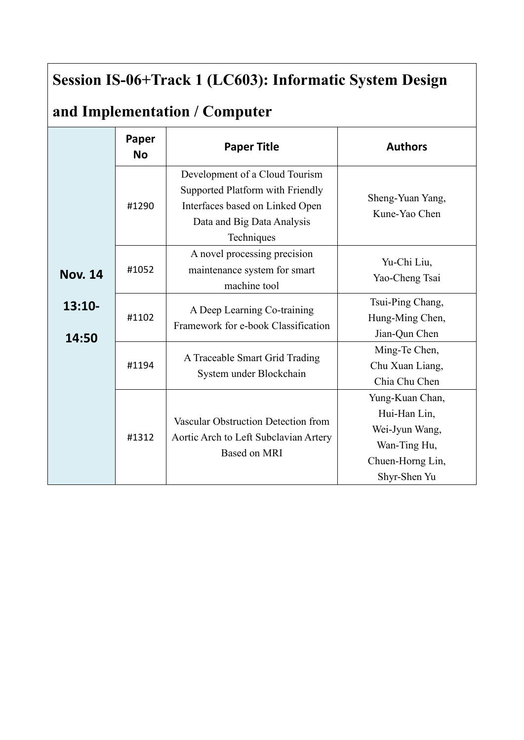## **Session IS-06+Track 1 (LC603): Informatic System Design**

# **and Implementation / Computer**

|                   | Paper<br><b>No</b> | <b>Paper Title</b>                                                                                                                                | <b>Authors</b>                                                                                        |
|-------------------|--------------------|---------------------------------------------------------------------------------------------------------------------------------------------------|-------------------------------------------------------------------------------------------------------|
|                   | #1290              | Development of a Cloud Tourism<br>Supported Platform with Friendly<br>Interfaces based on Linked Open<br>Data and Big Data Analysis<br>Techniques | Sheng-Yuan Yang,<br>Kune-Yao Chen                                                                     |
| <b>Nov. 14</b>    | #1052              | A novel processing precision<br>maintenance system for smart<br>machine tool                                                                      | Yu-Chi Liu,<br>Yao-Cheng Tsai                                                                         |
| $13:10-$<br>14:50 | #1102              | A Deep Learning Co-training<br>Framework for e-book Classification                                                                                | Tsui-Ping Chang,<br>Hung-Ming Chen,<br>Jian-Qun Chen                                                  |
|                   | #1194              | A Traceable Smart Grid Trading<br>System under Blockchain                                                                                         | Ming-Te Chen,<br>Chu Xuan Liang,<br>Chia Chu Chen                                                     |
|                   | #1312              | Vascular Obstruction Detection from<br>Aortic Arch to Left Subclavian Artery<br><b>Based on MRI</b>                                               | Yung-Kuan Chan,<br>Hui-Han Lin,<br>Wei-Jyun Wang,<br>Wan-Ting Hu,<br>Chuen-Horng Lin,<br>Shyr-Shen Yu |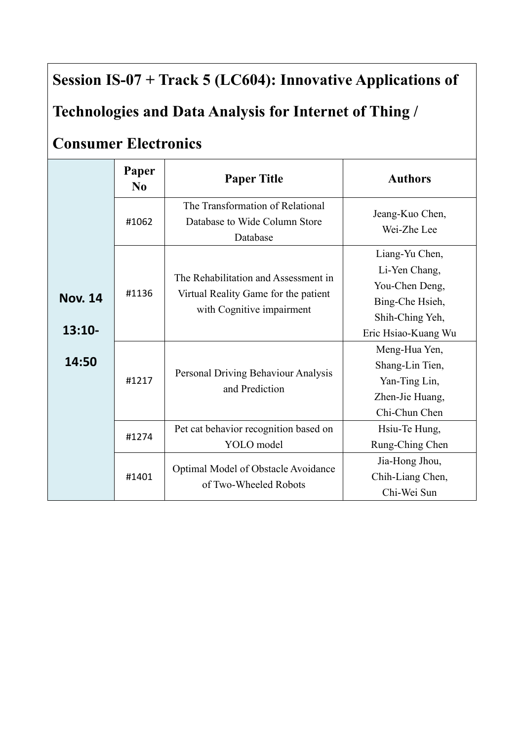## **Session IS-07 + Track 5 (LC604): Innovative Applications of**

## **Technologies and Data Analysis for Internet of Thing /**

#### **Consumer Electronics**

|                            | Paper<br>$\bf N_0$ | <b>Paper Title</b>                                                                                        | <b>Authors</b>                                                                                                 |
|----------------------------|--------------------|-----------------------------------------------------------------------------------------------------------|----------------------------------------------------------------------------------------------------------------|
|                            | #1062              | The Transformation of Relational<br>Database to Wide Column Store<br>Database                             | Jeang-Kuo Chen,<br>Wei-Zhe Lee                                                                                 |
| <b>Nov. 14</b><br>$13:10-$ | #1136              | The Rehabilitation and Assessment in<br>Virtual Reality Game for the patient<br>with Cognitive impairment | Liang-Yu Chen,<br>Li-Yen Chang,<br>You-Chen Deng,<br>Bing-Che Hsieh,<br>Shih-Ching Yeh,<br>Eric Hsiao-Kuang Wu |
| 14:50                      | #1217              | Personal Driving Behaviour Analysis<br>and Prediction                                                     | Meng-Hua Yen,<br>Shang-Lin Tien,<br>Yan-Ting Lin,<br>Zhen-Jie Huang,<br>Chi-Chun Chen                          |
|                            | #1274              | Pet cat behavior recognition based on<br>YOLO model                                                       | Hsiu-Te Hung,<br>Rung-Ching Chen                                                                               |
|                            | #1401              | Optimal Model of Obstacle Avoidance<br>of Two-Wheeled Robots                                              | Jia-Hong Jhou,<br>Chih-Liang Chen,<br>Chi-Wei Sun                                                              |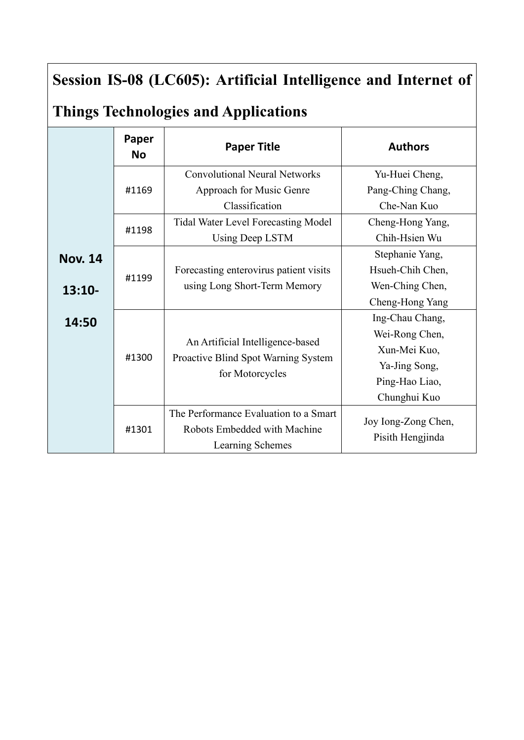## **Session IS-08 (LC605): Artificial Intelligence and Internet of**

## **Things Technologies and Applications**

|                | Paper<br><b>No</b> | <b>Paper Title</b>                               | <b>Authors</b>      |
|----------------|--------------------|--------------------------------------------------|---------------------|
|                |                    | <b>Convolutional Neural Networks</b>             | Yu-Huei Cheng,      |
|                | #1169              | Approach for Music Genre                         | Pang-Ching Chang,   |
|                |                    | Classification                                   | Che-Nan Kuo         |
|                | #1198              | <b>Tidal Water Level Forecasting Model</b>       | Cheng-Hong Yang,    |
|                |                    | <b>Using Deep LSTM</b>                           | Chih-Hsien Wu       |
| <b>Nov. 14</b> |                    |                                                  | Stephanie Yang,     |
|                | #1199              | Forecasting enterovirus patient visits           | Hsueh-Chih Chen,    |
| $13:10-$       |                    | using Long Short-Term Memory                     | Wen-Ching Chen,     |
|                |                    |                                                  | Cheng-Hong Yang     |
| 14:50          |                    |                                                  | Ing-Chau Chang,     |
|                |                    |                                                  | Wei-Rong Chen,      |
|                | #1300              | An Artificial Intelligence-based                 | Xun-Mei Kuo,        |
|                |                    | Proactive Blind Spot Warning System              | Ya-Jing Song,       |
|                |                    | for Motorcycles                                  | Ping-Hao Liao,      |
|                |                    |                                                  | Chunghui Kuo        |
|                |                    | The Performance Evaluation to a Smart            | Joy Iong-Zong Chen, |
|                | #1301              | Robots Embedded with Machine<br>Learning Schemes | Pisith Hengjinda    |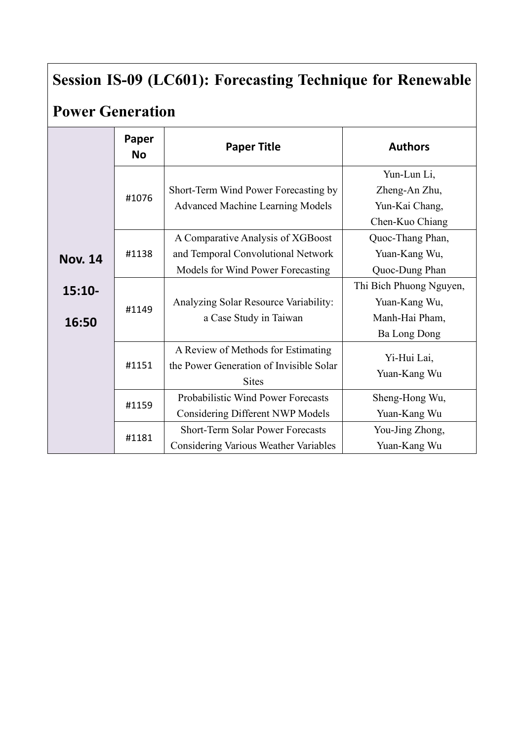# **Session IS-09 (LC601): Forecasting Technique for Renewable**

## **Power Generation**

|                   | Paper<br><b>No</b> | <b>Paper Title</b>                                                                                           | <b>Authors</b>                                                                    |
|-------------------|--------------------|--------------------------------------------------------------------------------------------------------------|-----------------------------------------------------------------------------------|
|                   | #1076              | Short-Term Wind Power Forecasting by<br><b>Advanced Machine Learning Models</b>                              | Yun-Lun Li,<br>Zheng-An Zhu,<br>Yun-Kai Chang,<br>Chen-Kuo Chiang                 |
| <b>Nov. 14</b>    | #1138              | A Comparative Analysis of XGBoost<br>and Temporal Convolutional Network<br>Models for Wind Power Forecasting | Quoc-Thang Phan,<br>Yuan-Kang Wu,<br>Quoc-Dung Phan                               |
| $15:10-$<br>16:50 | #1149              | Analyzing Solar Resource Variability:<br>a Case Study in Taiwan                                              | Thi Bich Phuong Nguyen,<br>Yuan-Kang Wu,<br>Manh-Hai Pham,<br><b>Ba Long Dong</b> |
|                   | #1151              | A Review of Methods for Estimating<br>the Power Generation of Invisible Solar<br><b>Sites</b>                | Yi-Hui Lai,<br>Yuan-Kang Wu                                                       |
|                   | #1159              | Probabilistic Wind Power Forecasts<br><b>Considering Different NWP Models</b>                                | Sheng-Hong Wu,<br>Yuan-Kang Wu                                                    |
|                   | #1181              | <b>Short-Term Solar Power Forecasts</b><br>Considering Various Weather Variables                             | You-Jing Zhong,<br>Yuan-Kang Wu                                                   |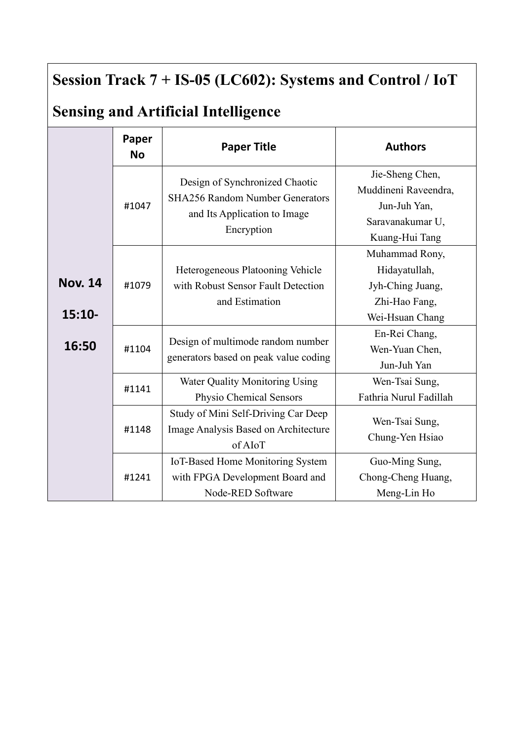## **Session Track 7 + IS-05 (LC602): Systems and Control / IoT**

# **Sensing and Artificial Intelligence**

|                            | Paper<br><b>No</b> | <b>Paper Title</b>                                                                                                     | <b>Authors</b>                                                                                |
|----------------------------|--------------------|------------------------------------------------------------------------------------------------------------------------|-----------------------------------------------------------------------------------------------|
|                            | #1047              | Design of Synchronized Chaotic<br><b>SHA256 Random Number Generators</b><br>and Its Application to Image<br>Encryption | Jie-Sheng Chen,<br>Muddineni Raveendra,<br>Jun-Juh Yan,<br>Saravanakumar U,<br>Kuang-Hui Tang |
| <b>Nov. 14</b><br>$15:10-$ | #1079              | Heterogeneous Platooning Vehicle<br>with Robust Sensor Fault Detection<br>and Estimation                               | Muhammad Rony,<br>Hidayatullah,<br>Jyh-Ching Juang,<br>Zhi-Hao Fang,<br>Wei-Hsuan Chang       |
| 16:50                      | #1104              | Design of multimode random number<br>generators based on peak value coding                                             | En-Rei Chang,<br>Wen-Yuan Chen,<br>Jun-Juh Yan                                                |
|                            | #1141              | Water Quality Monitoring Using<br>Physio Chemical Sensors                                                              | Wen-Tsai Sung,<br>Fathria Nurul Fadillah                                                      |
|                            | #1148              | Study of Mini Self-Driving Car Deep<br>Image Analysis Based on Architecture<br>of AIoT                                 | Wen-Tsai Sung,<br>Chung-Yen Hsiao                                                             |
|                            | #1241              | IoT-Based Home Monitoring System<br>with FPGA Development Board and<br>Node-RED Software                               | Guo-Ming Sung,<br>Chong-Cheng Huang,<br>Meng-Lin Ho                                           |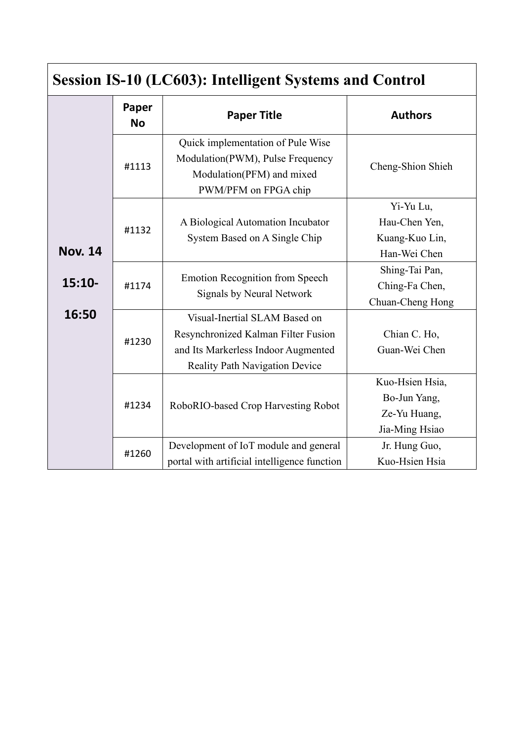| <b>Session IS-10 (LC603): Intelligent Systems and Control</b> |                    |                                                                                                                                                      |                                                                   |  |
|---------------------------------------------------------------|--------------------|------------------------------------------------------------------------------------------------------------------------------------------------------|-------------------------------------------------------------------|--|
|                                                               | Paper<br><b>No</b> | <b>Paper Title</b>                                                                                                                                   | <b>Authors</b>                                                    |  |
|                                                               | #1113              | Quick implementation of Pule Wise<br>Modulation(PWM), Pulse Frequency<br>Modulation(PFM) and mixed<br>PWM/PFM on FPGA chip                           | Cheng-Shion Shieh                                                 |  |
| <b>Nov. 14</b>                                                | #1132              | A Biological Automation Incubator<br>System Based on A Single Chip                                                                                   | Yi-Yu Lu,<br>Hau-Chen Yen,<br>Kuang-Kuo Lin,<br>Han-Wei Chen      |  |
| $15:10-$                                                      | #1174              | <b>Emotion Recognition from Speech</b><br><b>Signals by Neural Network</b>                                                                           | Shing-Tai Pan,<br>Ching-Fa Chen,<br>Chuan-Cheng Hong              |  |
| 16:50                                                         | #1230              | Visual-Inertial SLAM Based on<br>Resynchronized Kalman Filter Fusion<br>and Its Markerless Indoor Augmented<br><b>Reality Path Navigation Device</b> | Chian C. Ho,<br>Guan-Wei Chen                                     |  |
|                                                               | #1234              | RoboRIO-based Crop Harvesting Robot                                                                                                                  | Kuo-Hsien Hsia,<br>Bo-Jun Yang,<br>Ze-Yu Huang,<br>Jia-Ming Hsiao |  |
|                                                               | #1260              | Development of IoT module and general<br>portal with artificial intelligence function                                                                | Jr. Hung Guo,<br>Kuo-Hsien Hsia                                   |  |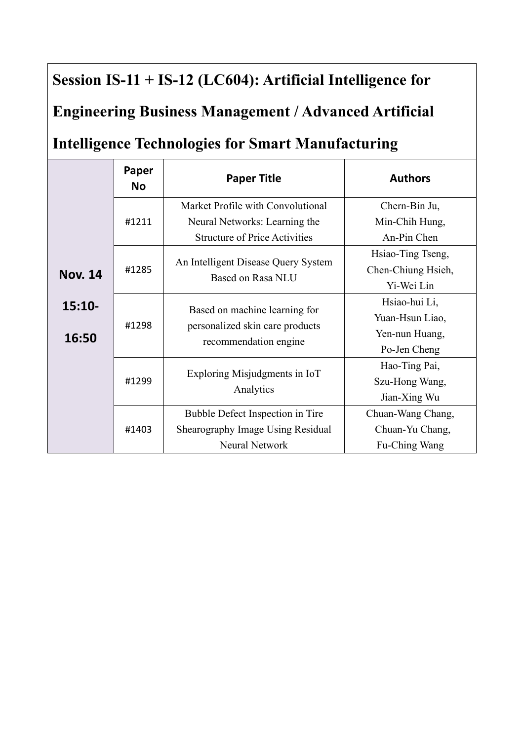## **Session IS-11 + IS-12 (LC604): Artificial Intelligence for**

#### **Engineering Business Management / Advanced Artificial**

#### **Intelligence Technologies for Smart Manufacturing**

|                | Paper<br><b>No</b> | <b>Paper Title</b>                                       | <b>Authors</b>     |
|----------------|--------------------|----------------------------------------------------------|--------------------|
|                |                    | Market Profile with Convolutional                        | Chern-Bin Ju,      |
|                | #1211              | Neural Networks: Learning the                            | Min-Chih Hung,     |
|                |                    | <b>Structure of Price Activities</b>                     | An-Pin Chen        |
|                |                    | An Intelligent Disease Query System                      | Hsiao-Ting Tseng,  |
| <b>Nov. 14</b> | #1285              | Based on Rasa NLU                                        | Chen-Chiung Hsieh, |
|                |                    |                                                          | Yi-Wei Lin         |
| $15:10-$       |                    | Based on machine learning for                            | Hsiao-hui Li,      |
|                | #1298              | personalized skin care products<br>recommendation engine | Yuan-Hsun Liao,    |
| 16:50          |                    |                                                          | Yen-nun Huang,     |
|                |                    |                                                          | Po-Jen Cheng       |
|                |                    | Exploring Misjudgments in IoT<br>Analytics               | Hao-Ting Pai,      |
|                | #1299              |                                                          | Szu-Hong Wang,     |
|                |                    |                                                          | Jian-Xing Wu       |
|                |                    | Bubble Defect Inspection in Tire                         | Chuan-Wang Chang,  |
|                | #1403              | Shearography Image Using Residual                        | Chuan-Yu Chang,    |
|                |                    | <b>Neural Network</b>                                    | Fu-Ching Wang      |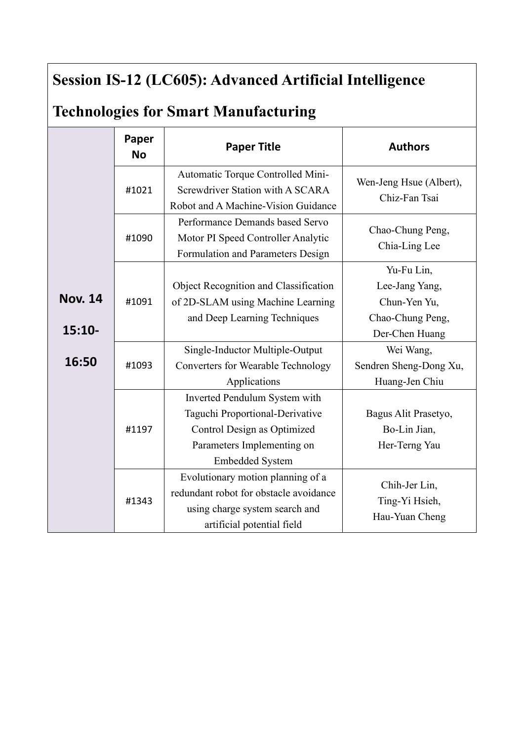## **Session IS-12 (LC605): Advanced Artificial Intelligence**

## **Technologies for Smart Manufacturing**

|                            | Paper<br><b>No</b> | <b>Paper Title</b>                                                                                                                               | <b>Authors</b>                                                                     |
|----------------------------|--------------------|--------------------------------------------------------------------------------------------------------------------------------------------------|------------------------------------------------------------------------------------|
|                            | #1021              | Automatic Torque Controlled Mini-<br>Screwdriver Station with A SCARA<br>Robot and A Machine-Vision Guidance                                     | Wen-Jeng Hsue (Albert),<br>Chiz-Fan Tsai                                           |
|                            | #1090              | Performance Demands based Servo<br>Motor PI Speed Controller Analytic<br>Formulation and Parameters Design                                       | Chao-Chung Peng,<br>Chia-Ling Lee                                                  |
| <b>Nov. 14</b><br>$15:10-$ | #1091              | <b>Object Recognition and Classification</b><br>of 2D-SLAM using Machine Learning<br>and Deep Learning Techniques                                | Yu-Fu Lin,<br>Lee-Jang Yang,<br>Chun-Yen Yu,<br>Chao-Chung Peng,<br>Der-Chen Huang |
| 16:50                      | #1093              | Single-Inductor Multiple-Output<br><b>Converters for Wearable Technology</b><br>Applications                                                     | Wei Wang,<br>Sendren Sheng-Dong Xu,<br>Huang-Jen Chiu                              |
|                            | #1197              | Inverted Pendulum System with<br>Taguchi Proportional-Derivative<br>Control Design as Optimized<br>Parameters Implementing on<br>Embedded System | Bagus Alit Prasetyo,<br>Bo-Lin Jian,<br>Her-Terng Yau                              |
|                            | #1343              | Evolutionary motion planning of a<br>redundant robot for obstacle avoidance<br>using charge system search and<br>artificial potential field      | Chih-Jer Lin,<br>Ting-Yi Hsieh,<br>Hau-Yuan Cheng                                  |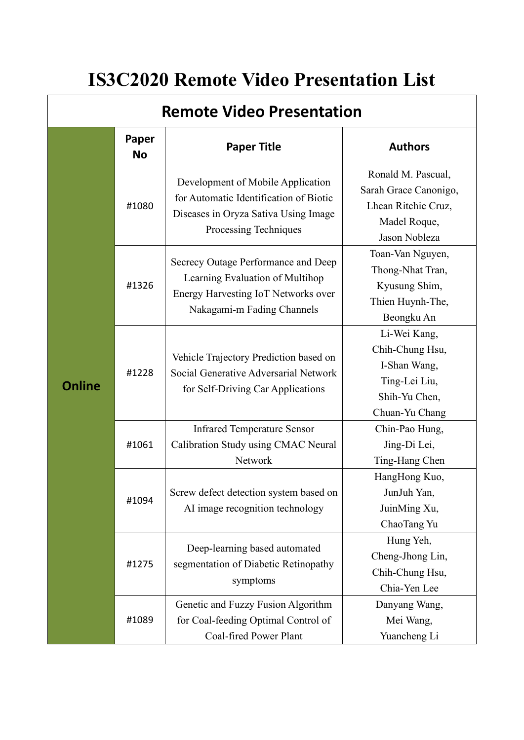# **IS3C2020 Remote Video Presentation List**

| <b>Remote Video Presentation</b> |                    |                                                                                                                                                    |                                                                                                     |
|----------------------------------|--------------------|----------------------------------------------------------------------------------------------------------------------------------------------------|-----------------------------------------------------------------------------------------------------|
|                                  | Paper<br><b>No</b> | <b>Paper Title</b>                                                                                                                                 | <b>Authors</b>                                                                                      |
| <b>Online</b>                    | #1080              | Development of Mobile Application<br>for Automatic Identification of Biotic<br>Diseases in Oryza Sativa Using Image<br>Processing Techniques       | Ronald M. Pascual,<br>Sarah Grace Canonigo,<br>Lhean Ritchie Cruz,<br>Madel Roque,<br>Jason Nobleza |
|                                  | #1326              | Secrecy Outage Performance and Deep<br>Learning Evaluation of Multihop<br><b>Energy Harvesting IoT Networks over</b><br>Nakagami-m Fading Channels | Toan-Van Nguyen,<br>Thong-Nhat Tran,<br>Kyusung Shim,<br>Thien Huynh-The,<br>Beongku An             |
|                                  | #1228              | Vehicle Trajectory Prediction based on<br>Social Generative Adversarial Network<br>for Self-Driving Car Applications                               | Li-Wei Kang,<br>Chih-Chung Hsu,<br>I-Shan Wang,<br>Ting-Lei Liu,<br>Shih-Yu Chen,<br>Chuan-Yu Chang |
|                                  | #1061              | <b>Infrared Temperature Sensor</b><br>Calibration Study using CMAC Neural<br>Network                                                               | Chin-Pao Hung,<br>Jing-Di Lei,<br>Ting-Hang Chen                                                    |
|                                  | #1094              | Screw defect detection system based on<br>AI image recognition technology                                                                          | HangHong Kuo,<br>JunJuh Yan,<br>JuinMing Xu,<br>ChaoTang Yu                                         |
|                                  | #1275              | Deep-learning based automated<br>segmentation of Diabetic Retinopathy<br>symptoms                                                                  | Hung Yeh,<br>Cheng-Jhong Lin,<br>Chih-Chung Hsu,<br>Chia-Yen Lee                                    |
|                                  | #1089              | Genetic and Fuzzy Fusion Algorithm<br>for Coal-feeding Optimal Control of<br>Coal-fired Power Plant                                                | Danyang Wang,<br>Mei Wang,<br>Yuancheng Li                                                          |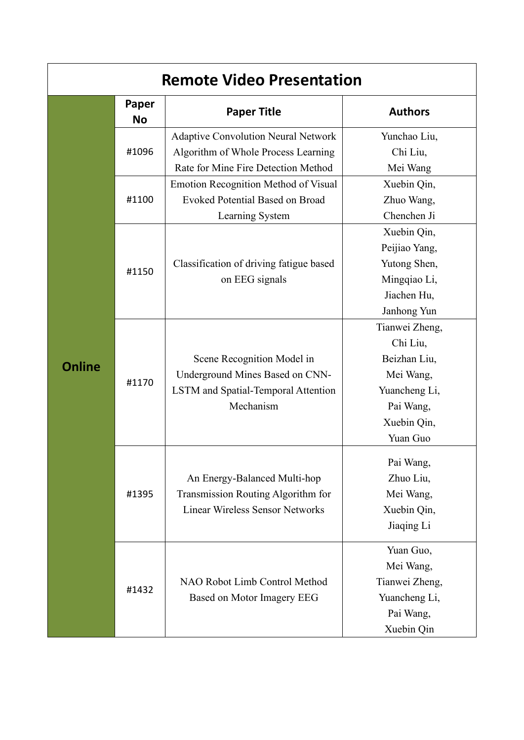| <b>Remote Video Presentation</b> |                    |                                                                                                                          |                                                                                                                  |  |
|----------------------------------|--------------------|--------------------------------------------------------------------------------------------------------------------------|------------------------------------------------------------------------------------------------------------------|--|
|                                  | Paper<br><b>No</b> | <b>Paper Title</b>                                                                                                       | <b>Authors</b>                                                                                                   |  |
| <b>Online</b>                    | #1096              | <b>Adaptive Convolution Neural Network</b><br>Algorithm of Whole Process Learning<br>Rate for Mine Fire Detection Method | Yunchao Liu,<br>Chi Liu,<br>Mei Wang                                                                             |  |
|                                  | #1100              | <b>Emotion Recognition Method of Visual</b><br><b>Evoked Potential Based on Broad</b><br>Learning System                 | Xuebin Qin,<br>Zhuo Wang,<br>Chenchen Ji                                                                         |  |
|                                  | #1150              | Classification of driving fatigue based<br>on EEG signals                                                                | Xuebin Qin,<br>Peijiao Yang,<br>Yutong Shen,<br>Mingqiao Li,<br>Jiachen Hu,<br>Janhong Yun                       |  |
|                                  | #1170              | Scene Recognition Model in<br>Underground Mines Based on CNN-<br>LSTM and Spatial-Temporal Attention<br>Mechanism        | Tianwei Zheng,<br>Chi Liu,<br>Beizhan Liu,<br>Mei Wang,<br>Yuancheng Li,<br>Pai Wang,<br>Xuebin Qin,<br>Yuan Guo |  |
|                                  | #1395              | An Energy-Balanced Multi-hop<br>Transmission Routing Algorithm for<br><b>Linear Wireless Sensor Networks</b>             | Pai Wang,<br>Zhuo Liu,<br>Mei Wang,<br>Xuebin Qin,<br>Jiaqing Li                                                 |  |
|                                  | #1432              | NAO Robot Limb Control Method<br>Based on Motor Imagery EEG                                                              | Yuan Guo,<br>Mei Wang,<br>Tianwei Zheng,<br>Yuancheng Li,<br>Pai Wang,<br>Xuebin Qin                             |  |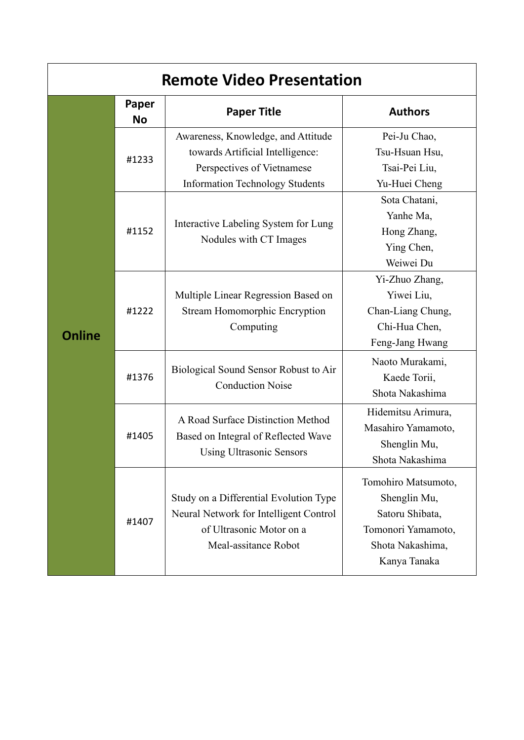| <b>Remote Video Presentation</b> |                    |                                                                                                                                                |                                                                                                                  |  |
|----------------------------------|--------------------|------------------------------------------------------------------------------------------------------------------------------------------------|------------------------------------------------------------------------------------------------------------------|--|
|                                  | Paper<br><b>No</b> | <b>Paper Title</b>                                                                                                                             | <b>Authors</b>                                                                                                   |  |
| <b>Online</b>                    | #1233              | Awareness, Knowledge, and Attitude<br>towards Artificial Intelligence:<br>Perspectives of Vietnamese<br><b>Information Technology Students</b> | Pei-Ju Chao,<br>Tsu-Hsuan Hsu,<br>Tsai-Pei Liu,<br>Yu-Huei Cheng                                                 |  |
|                                  | #1152              | Interactive Labeling System for Lung<br>Nodules with CT Images                                                                                 | Sota Chatani,<br>Yanhe Ma,<br>Hong Zhang,<br>Ying Chen,<br>Weiwei Du                                             |  |
|                                  | #1222              | Multiple Linear Regression Based on<br><b>Stream Homomorphic Encryption</b><br>Computing                                                       | Yi-Zhuo Zhang,<br>Yiwei Liu,<br>Chan-Liang Chung,<br>Chi-Hua Chen,<br>Feng-Jang Hwang                            |  |
|                                  | #1376              | Biological Sound Sensor Robust to Air<br><b>Conduction Noise</b>                                                                               | Naoto Murakami,<br>Kaede Torii,<br>Shota Nakashima                                                               |  |
|                                  | #1405              | A Road Surface Distinction Method<br>Based on Integral of Reflected Wave<br><b>Using Ultrasonic Sensors</b>                                    | Hidemitsu Arimura,<br>Masahiro Yamamoto,<br>Shenglin Mu,<br>Shota Nakashima                                      |  |
|                                  | #1407              | Study on a Differential Evolution Type<br>Neural Network for Intelligent Control<br>of Ultrasonic Motor on a<br>Meal-assitance Robot           | Tomohiro Matsumoto,<br>Shenglin Mu,<br>Satoru Shibata,<br>Tomonori Yamamoto,<br>Shota Nakashima,<br>Kanya Tanaka |  |